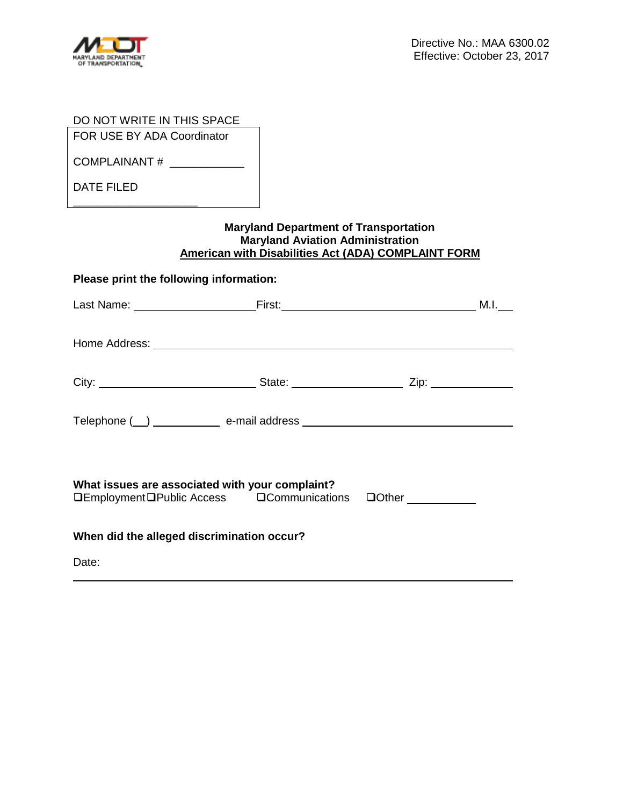

| DO NOT WRITE IN THIS SPACE                                                                                                                                                                                                     |  |  |  |  |  |  |
|--------------------------------------------------------------------------------------------------------------------------------------------------------------------------------------------------------------------------------|--|--|--|--|--|--|
| FOR USE BY ADA Coordinator                                                                                                                                                                                                     |  |  |  |  |  |  |
| COMPLAINANT # ____________                                                                                                                                                                                                     |  |  |  |  |  |  |
| <b>DATE FILED</b>                                                                                                                                                                                                              |  |  |  |  |  |  |
| <u> 1989 - Johann Barnett, fransk politiker (d. 1989)</u><br><b>Maryland Department of Transportation</b><br><b>Maryland Aviation Administration</b><br>American with Disabilities Act (ADA) COMPLAINT FORM                    |  |  |  |  |  |  |
| Please print the following information:                                                                                                                                                                                        |  |  |  |  |  |  |
|                                                                                                                                                                                                                                |  |  |  |  |  |  |
| Home Address: No. 1996. The Manual Address: No. 1997. The Manual Address: No. 1997. The Manual Address: No. 1997. The Manual Address: No. 1997. The Manual Address: No. 1997. The Manual Address: No. 1997. The Manual Address |  |  |  |  |  |  |
|                                                                                                                                                                                                                                |  |  |  |  |  |  |
|                                                                                                                                                                                                                                |  |  |  |  |  |  |
| What issues are associated with your complaint?<br><b>QEmploymentQPublic Access QCommunications QOther</b>                                                                                                                     |  |  |  |  |  |  |
|                                                                                                                                                                                                                                |  |  |  |  |  |  |
| When did the alleged discrimination occur?                                                                                                                                                                                     |  |  |  |  |  |  |
| Date:                                                                                                                                                                                                                          |  |  |  |  |  |  |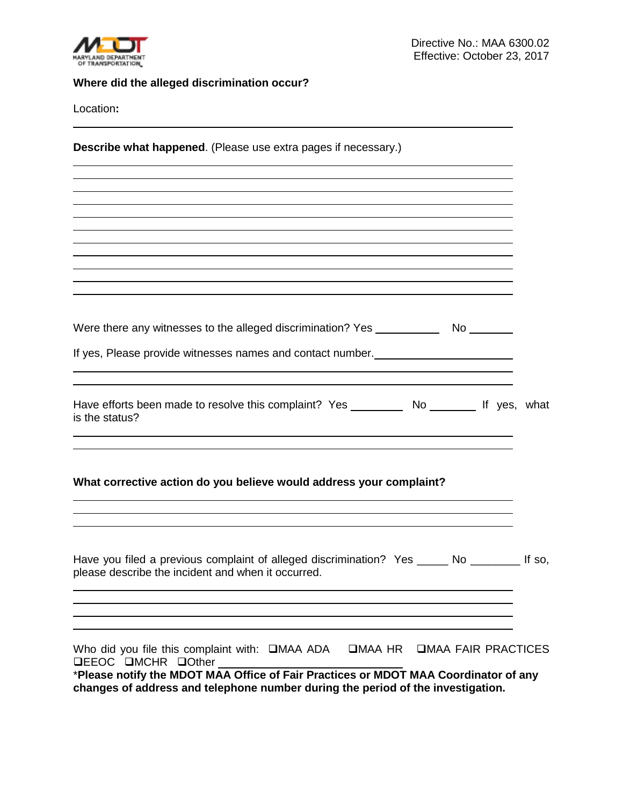

## **Where did the alleged discrimination occur?**

Location**:** 

**Describe what happened**. (Please use extra pages if necessary.)

Were there any witnesses to the alleged discrimination? Yes No

If yes, Please provide witnesses names and contact number.

| Have efforts been made to resolve this complaint? Yes | No |  | If yes, what |
|-------------------------------------------------------|----|--|--------------|
| is the status?                                        |    |  |              |

## **What corrective action do you believe would address your complaint?**

| Have you filed a previous complaint of alleged discrimination? Yes ______ No __________ If so,<br>please describe the incident and when it occurred.                                                                                                                                                |  |
|-----------------------------------------------------------------------------------------------------------------------------------------------------------------------------------------------------------------------------------------------------------------------------------------------------|--|
|                                                                                                                                                                                                                                                                                                     |  |
| Who did you file this complaint with: <b>QMAA ADA</b> QMAA HR QMAA FAIR PRACTICES<br>$\Box EEOC$ $\Box MCHR$ $\Box$ Other<br>*Please notify the MDOT MAA Office of Fair Practices or MDOT MAA Coordinator of any<br>changes of address and telephone number during the period of the investigation. |  |